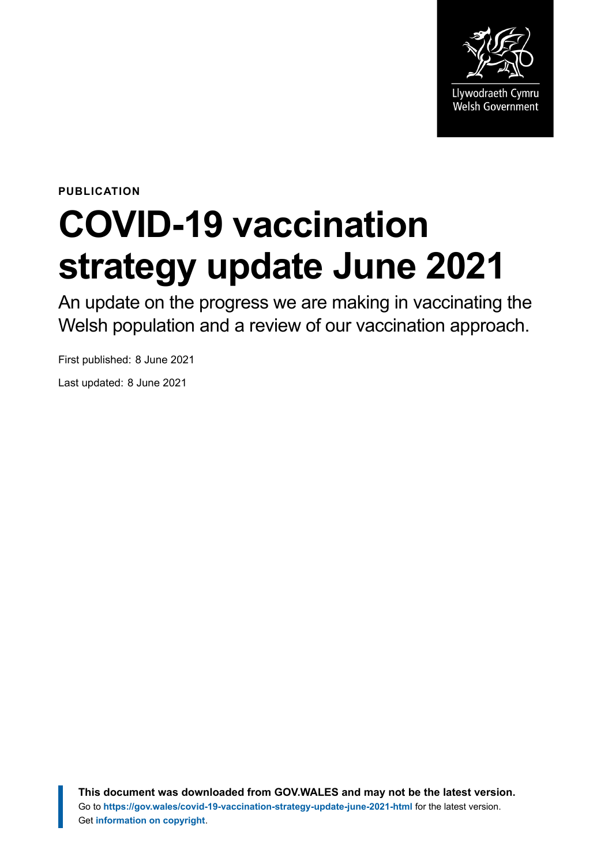

**PUBLICATION**

# **COVID-19 vaccination strategy update June 2021**

An update on the progress we are making in vaccinating the Welsh population and a review of our vaccination approach.

First published: 8 June 2021

Last updated: 8 June 2021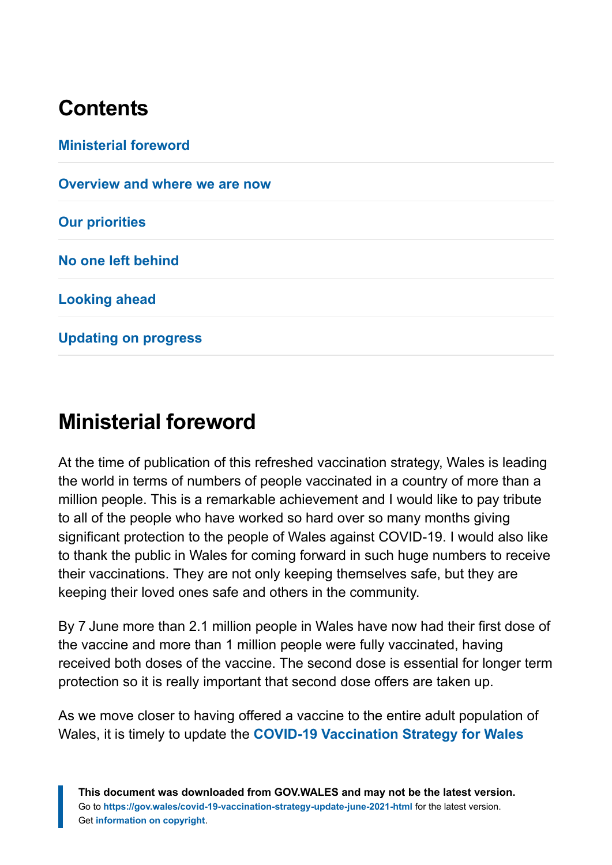# **Contents**

**[Ministerial foreword](#page-1-0) [Overview and where we are now](#page-3-0) [Our priorities](#page-5-0) [No one left behind](#page-8-0) [Looking ahead](#page-14-0) [Updating on progress](#page-18-0)**

# <span id="page-1-0"></span>**Ministerial foreword**

At the time of publication of this refreshed vaccination strategy, Wales is leading the world in terms of numbers of people vaccinated in a country of more than a million people. This is a remarkable achievement and I would like to pay tribute to all of the people who have worked so hard over so many months giving significant protection to the people of Wales against COVID-19. I would also like to thank the public in Wales for coming forward in such huge numbers to receive their vaccinations. They are not only keeping themselves safe, but they are keeping their loved ones safe and others in the community.

By 7 June more than 2.1 million people in Wales have now had their first dose of the vaccine and more than 1 million people were fully vaccinated, having received both doses of the vaccine. The second dose is essential for longer term protection so it is really important that second dose offers are taken up.

As we move closer to having offered a vaccine to the entire adult population of Wales, it is timely to update the **[COVID-19 Vaccination Strategy for Wales](https://gov.wales/covid-19-vaccination-strategy)**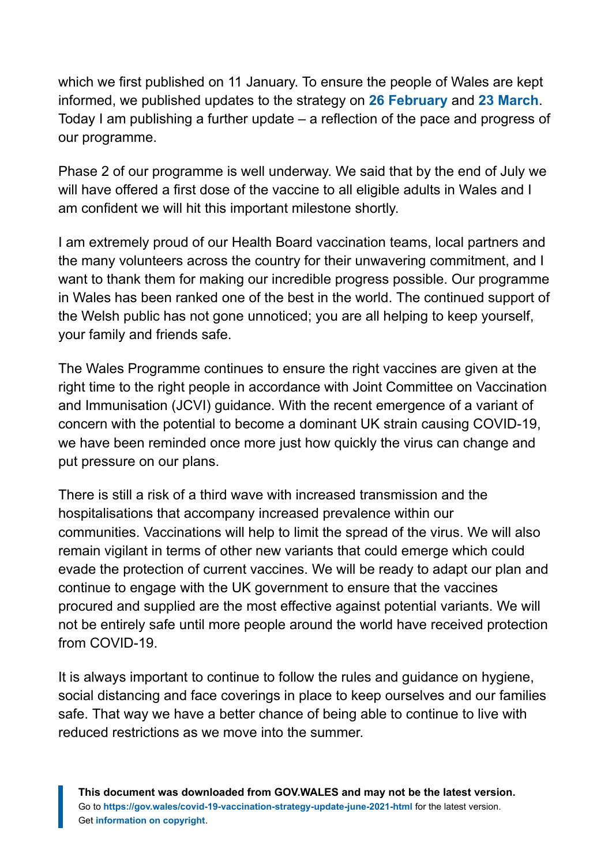which we first published on 11 January. To ensure the people of Wales are kept informed, we published updates to the strategy on **[26 February](https://gov.wales/covid-19-vaccination-strategy-update-february-2021)** and **[23 March](https://gov.wales/covid-19-vaccination-strategy-update-march-2021)**. Today I am publishing a further update – a reflection of the pace and progress of our programme.

Phase 2 of our programme is well underway. We said that by the end of July we will have offered a first dose of the vaccine to all eligible adults in Wales and I am confident we will hit this important milestone shortly.

I am extremely proud of our Health Board vaccination teams, local partners and the many volunteers across the country for their unwavering commitment, and I want to thank them for making our incredible progress possible. Our programme in Wales has been ranked one of the best in the world. The continued support of the Welsh public has not gone unnoticed; you are all helping to keep yourself, your family and friends safe.

The Wales Programme continues to ensure the right vaccines are given at the right time to the right people in accordance with Joint Committee on Vaccination and Immunisation (JCVI) guidance. With the recent emergence of a variant of concern with the potential to become a dominant UK strain causing COVID-19, we have been reminded once more just how quickly the virus can change and put pressure on our plans.

There is still a risk of a third wave with increased transmission and the hospitalisations that accompany increased prevalence within our communities. Vaccinations will help to limit the spread of the virus. We will also remain vigilant in terms of other new variants that could emerge which could evade the protection of current vaccines. We will be ready to adapt our plan and continue to engage with the UK government to ensure that the vaccines procured and supplied are the most effective against potential variants. We will not be entirely safe until more people around the world have received protection from COVID-19.

It is always important to continue to follow the rules and guidance on hygiene, social distancing and face coverings in place to keep ourselves and our families safe. That way we have a better chance of being able to continue to live with reduced restrictions as we move into the summer.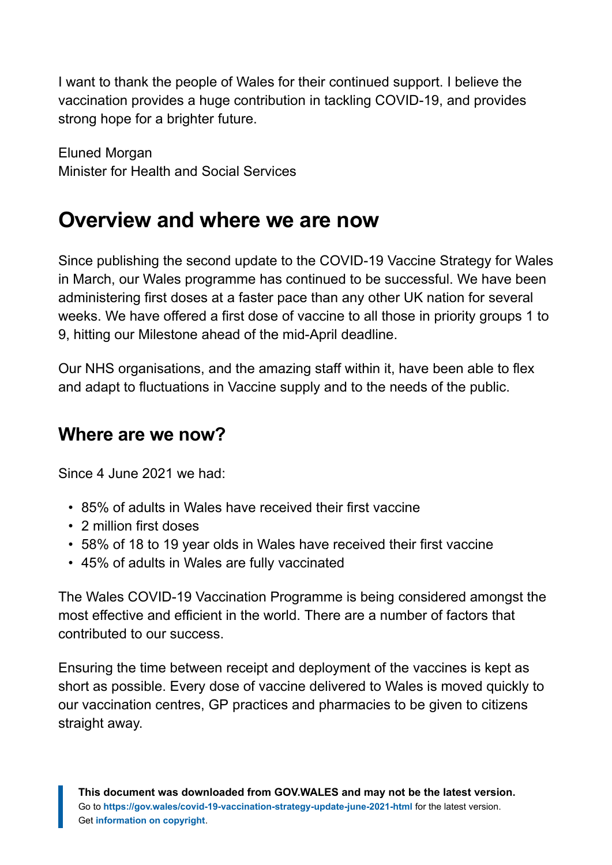I want to thank the people of Wales for their continued support. I believe the vaccination provides a huge contribution in tackling COVID-19, and provides strong hope for a brighter future.

Eluned Morgan Minister for Health and Social Services

# <span id="page-3-0"></span>**Overview and where we are now**

Since publishing the second update to the COVID-19 Vaccine Strategy for Wales in March, our Wales programme has continued to be successful. We have been administering first doses at a faster pace than any other UK nation for several weeks. We have offered a first dose of vaccine to all those in priority groups 1 to 9, hitting our Milestone ahead of the mid-April deadline.

Our NHS organisations, and the amazing staff within it, have been able to flex and adapt to fluctuations in Vaccine supply and to the needs of the public.

# **Where are we now?**

Since 4 June 2021 we had:

- 85% of adults in Wales have received their first vaccine
- 2 million first doses
- 58% of 18 to 19 year olds in Wales have received their first vaccine
- 45% of adults in Wales are fully vaccinated

The Wales COVID-19 Vaccination Programme is being considered amongst the most effective and efficient in the world. There are a number of factors that contributed to our success.

Ensuring the time between receipt and deployment of the vaccines is kept as short as possible. Every dose of vaccine delivered to Wales is moved quickly to our vaccination centres, GP practices and pharmacies to be given to citizens straight away.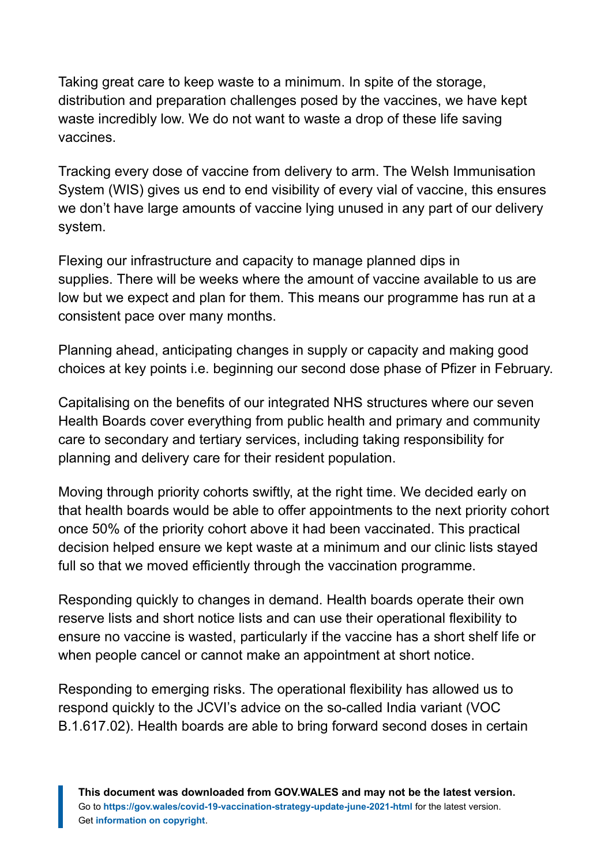Taking great care to keep waste to a minimum. In spite of the storage, distribution and preparation challenges posed by the vaccines, we have kept waste incredibly low. We do not want to waste a drop of these life saving vaccines.

Tracking every dose of vaccine from delivery to arm. The Welsh Immunisation System (WIS) gives us end to end visibility of every vial of vaccine, this ensures we don't have large amounts of vaccine lying unused in any part of our delivery system.

Flexing our infrastructure and capacity to manage planned dips in supplies. There will be weeks where the amount of vaccine available to us are low but we expect and plan for them. This means our programme has run at a consistent pace over many months.

Planning ahead, anticipating changes in supply or capacity and making good choices at key points i.e. beginning our second dose phase of Pfizer in February.

Capitalising on the benefits of our integrated NHS structures where our seven Health Boards cover everything from public health and primary and community care to secondary and tertiary services, including taking responsibility for planning and delivery care for their resident population.

Moving through priority cohorts swiftly, at the right time. We decided early on that health boards would be able to offer appointments to the next priority cohort once 50% of the priority cohort above it had been vaccinated. This practical decision helped ensure we kept waste at a minimum and our clinic lists stayed full so that we moved efficiently through the vaccination programme.

Responding quickly to changes in demand. Health boards operate their own reserve lists and short notice lists and can use their operational flexibility to ensure no vaccine is wasted, particularly if the vaccine has a short shelf life or when people cancel or cannot make an appointment at short notice.

Responding to emerging risks. The operational flexibility has allowed us to respond quickly to the JCVI's advice on the so-called India variant (VOC B.1.617.02). Health boards are able to bring forward second doses in certain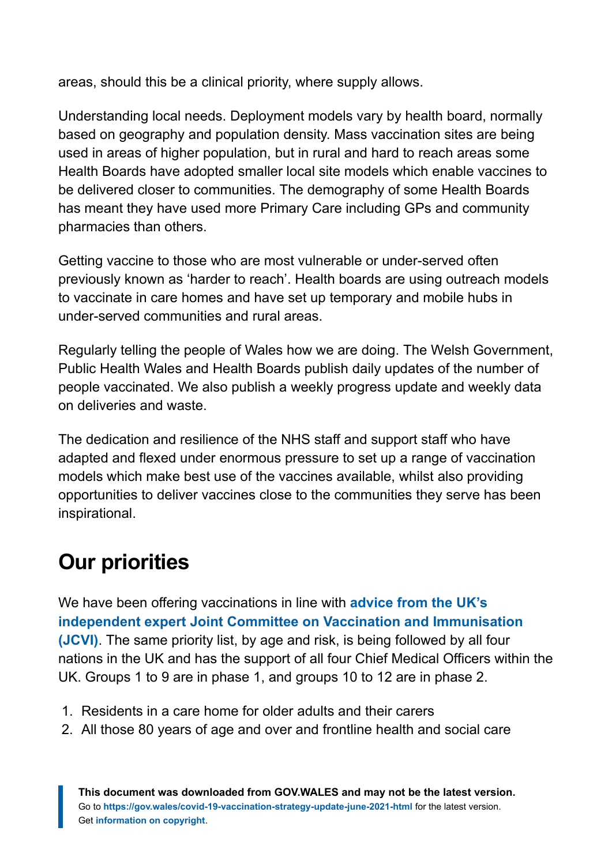areas, should this be a clinical priority, where supply allows.

Understanding local needs. Deployment models vary by health board, normally based on geography and population density. Mass vaccination sites are being used in areas of higher population, but in rural and hard to reach areas some Health Boards have adopted smaller local site models which enable vaccines to be delivered closer to communities. The demography of some Health Boards has meant they have used more Primary Care including GPs and community pharmacies than others.

Getting vaccine to those who are most vulnerable or under-served often previously known as 'harder to reach'. Health boards are using outreach models to vaccinate in care homes and have set up temporary and mobile hubs in under-served communities and rural areas.

Regularly telling the people of Wales how we are doing. The Welsh Government, Public Health Wales and Health Boards publish daily updates of the number of people vaccinated. We also publish a weekly progress update and weekly data on deliveries and waste.

The dedication and resilience of the NHS staff and support staff who have adapted and flexed under enormous pressure to set up a range of vaccination models which make best use of the vaccines available, whilst also providing opportunities to deliver vaccines close to the communities they serve has been inspirational.

# <span id="page-5-0"></span>**Our priorities**

We have been offering vaccinations in line with **[advice from the UK's](https://www.gov.uk/government/publications/priority-groups-for-coronavirus-covid-19-vaccination-advice-from-the-jcvi-30-december-2020/joint-committee-on-vaccination-and-immunisation-advice-on-priority-groups-for-covid-19-vaccination-30-december-2020#vaccine-priority-groups-advice-on-30-december-2020) [independent expert Joint Committee on Vaccination and Immunisation](https://www.gov.uk/government/publications/priority-groups-for-coronavirus-covid-19-vaccination-advice-from-the-jcvi-30-december-2020/joint-committee-on-vaccination-and-immunisation-advice-on-priority-groups-for-covid-19-vaccination-30-december-2020#vaccine-priority-groups-advice-on-30-december-2020) [\(JCVI\)](https://www.gov.uk/government/publications/priority-groups-for-coronavirus-covid-19-vaccination-advice-from-the-jcvi-30-december-2020/joint-committee-on-vaccination-and-immunisation-advice-on-priority-groups-for-covid-19-vaccination-30-december-2020#vaccine-priority-groups-advice-on-30-december-2020)**. The same priority list, by age and risk, is being followed by all four nations in the UK and has the support of all four Chief Medical Officers within the UK. Groups 1 to 9 are in phase 1, and groups 10 to 12 are in phase 2.

- 1. Residents in a care home for older adults and their carers
- 2. All those 80 years of age and over and frontline health and social care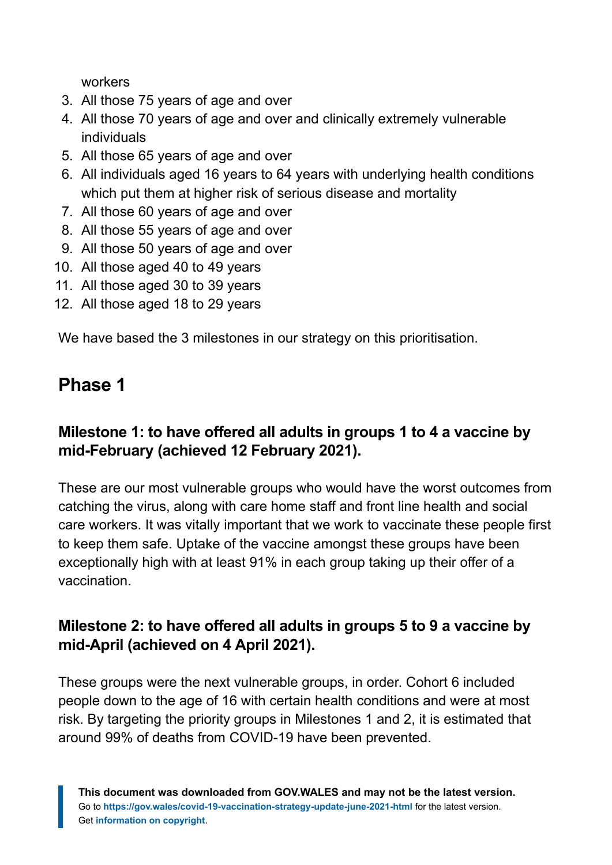workers

- 3. All those 75 years of age and over
- 4. All those 70 years of age and over and clinically extremely vulnerable individuals
- 5. All those 65 years of age and over
- 6. All individuals aged 16 years to 64 years with underlying health conditions which put them at higher risk of serious disease and mortality
- 7. All those 60 years of age and over
- 8. All those 55 years of age and over
- 9. All those 50 years of age and over
- 10. All those aged 40 to 49 years
- 11. All those aged 30 to 39 years
- 12. All those aged 18 to 29 years

We have based the 3 milestones in our strategy on this prioritisation.

# **Phase 1**

## **Milestone 1: to have offered all adults in groups 1 to 4 a vaccine by mid-February (achieved 12 February 2021).**

These are our most vulnerable groups who would have the worst outcomes from catching the virus, along with care home staff and front line health and social care workers. It was vitally important that we work to vaccinate these people first to keep them safe. Uptake of the vaccine amongst these groups have been exceptionally high with at least 91% in each group taking up their offer of a vaccination.

## **Milestone 2: to have offered all adults in groups 5 to 9 a vaccine by mid-April (achieved on 4 April 2021).**

These groups were the next vulnerable groups, in order. Cohort 6 included people down to the age of 16 with certain health conditions and were at most risk. By targeting the priority groups in Milestones 1 and 2, it is estimated that around 99% of deaths from COVID-19 have been prevented.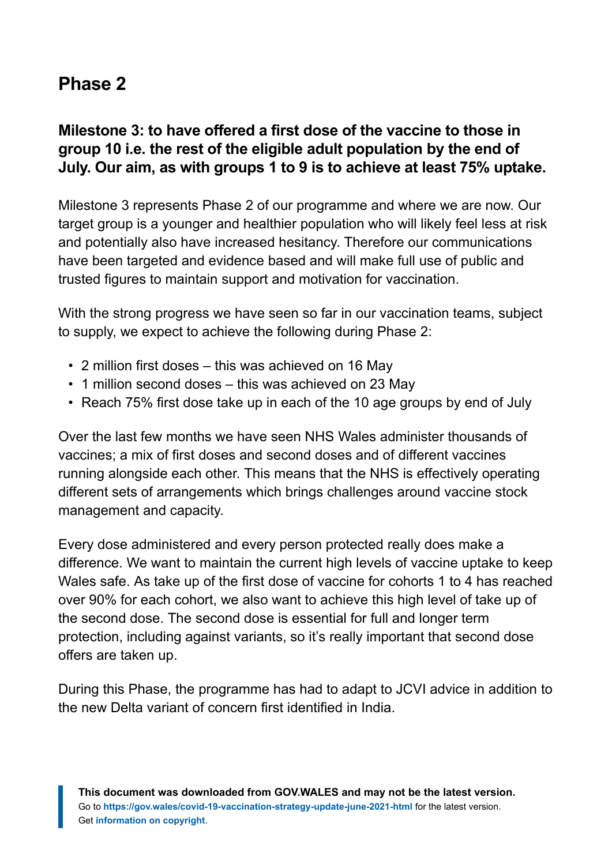# **Phase 2**

## **Milestone 3: to have offered a first dose of the vaccine to those in group 10 i.e. the rest of the eligible adult population by the end of July. Our aim, as with groups 1 to 9 is to achieve at least 75% uptake.**

Milestone 3 represents Phase 2 of our programme and where we are now. Our target group is a younger and healthier population who will likely feel less at risk and potentially also have increased hesitancy. Therefore our communications have been targeted and evidence based and will make full use of public and trusted figures to maintain support and motivation for vaccination.

With the strong progress we have seen so far in our vaccination teams, subject to supply, we expect to achieve the following during Phase 2:

- 2 million first doses this was achieved on 16 May
- 1 million second doses this was achieved on 23 May
- Reach 75% first dose take up in each of the 10 age groups by end of July

Over the last few months we have seen NHS Wales administer thousands of vaccines; a mix of first doses and second doses and of different vaccines running alongside each other. This means that the NHS is effectively operating different sets of arrangements which brings challenges around vaccine stock management and capacity.

Every dose administered and every person protected really does make a difference. We want to maintain the current high levels of vaccine uptake to keep Wales safe. As take up of the first dose of vaccine for cohorts 1 to 4 has reached over 90% for each cohort, we also want to achieve this high level of take up of the second dose. The second dose is essential for full and longer term protection, including against variants, so it's really important that second dose offers are taken up.

During this Phase, the programme has had to adapt to JCVI advice in addition to the new Delta variant of concern first identified in India.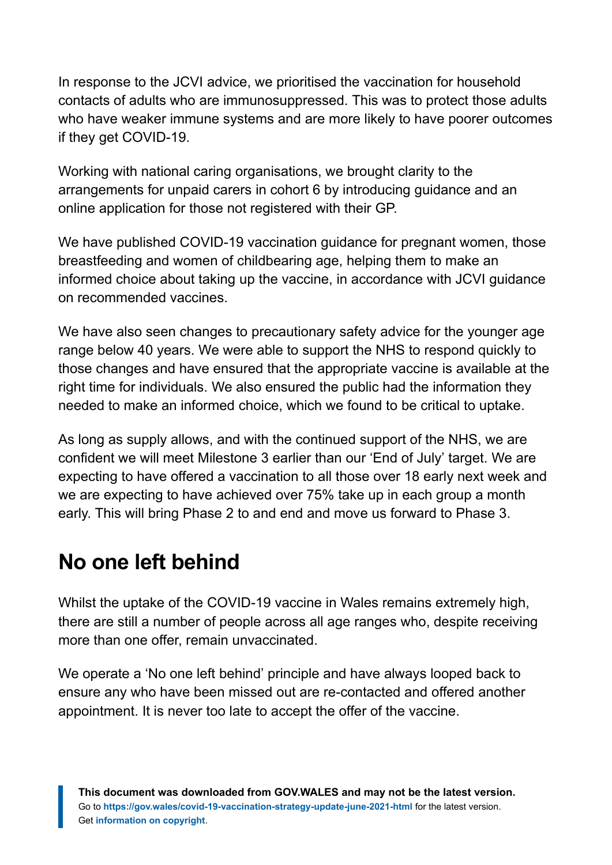In response to the JCVI advice, we prioritised the vaccination for household contacts of adults who are immunosuppressed. This was to protect those adults who have weaker immune systems and are more likely to have poorer outcomes if they get COVID-19.

Working with national caring organisations, we brought clarity to the arrangements for unpaid carers in cohort 6 by introducing guidance and an online application for those not registered with their GP.

We have published COVID-19 vaccination guidance for pregnant women, those breastfeeding and women of childbearing age, helping them to make an informed choice about taking up the vaccine, in accordance with JCVI guidance on recommended vaccines.

We have also seen changes to precautionary safety advice for the younger age range below 40 years. We were able to support the NHS to respond quickly to those changes and have ensured that the appropriate vaccine is available at the right time for individuals. We also ensured the public had the information they needed to make an informed choice, which we found to be critical to uptake.

As long as supply allows, and with the continued support of the NHS, we are confident we will meet Milestone 3 earlier than our 'End of July' target. We are expecting to have offered a vaccination to all those over 18 early next week and we are expecting to have achieved over 75% take up in each group a month early. This will bring Phase 2 to and end and move us forward to Phase 3.

# <span id="page-8-0"></span>**No one left behind**

Whilst the uptake of the COVID-19 vaccine in Wales remains extremely high, there are still a number of people across all age ranges who, despite receiving more than one offer, remain unvaccinated.

We operate a 'No one left behind' principle and have always looped back to ensure any who have been missed out are re-contacted and offered another appointment. It is never too late to accept the offer of the vaccine.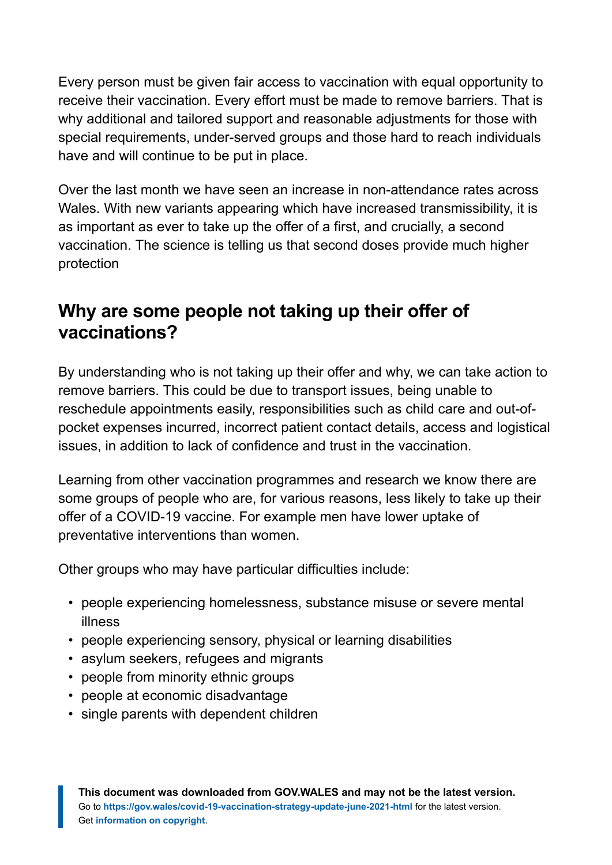Every person must be given fair access to vaccination with equal opportunity to receive their vaccination. Every effort must be made to remove barriers. That is why additional and tailored support and reasonable adjustments for those with special requirements, under-served groups and those hard to reach individuals have and will continue to be put in place.

Over the last month we have seen an increase in non-attendance rates across Wales. With new variants appearing which have increased transmissibility, it is as important as ever to take up the offer of a first, and crucially, a second vaccination. The science is telling us that second doses provide much higher protection

# **Why are some people not taking up their offer of vaccinations?**

By understanding who is not taking up their offer and why, we can take action to remove barriers. This could be due to transport issues, being unable to reschedule appointments easily, responsibilities such as child care and out-ofpocket expenses incurred, incorrect patient contact details, access and logistical issues, in addition to lack of confidence and trust in the vaccination.

Learning from other vaccination programmes and research we know there are some groups of people who are, for various reasons, less likely to take up their offer of a COVID-19 vaccine. For example men have lower uptake of preventative interventions than women.

Other groups who may have particular difficulties include:

- people experiencing homelessness, substance misuse or severe mental illness
- people experiencing sensory, physical or learning disabilities
- asylum seekers, refugees and migrants
- people from minority ethnic groups
- people at economic disadvantage
- single parents with dependent children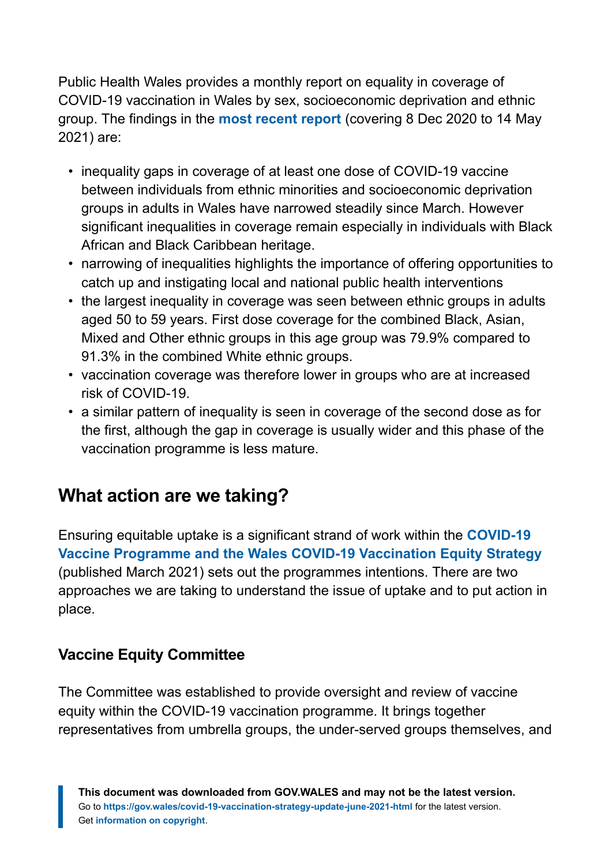Public Health Wales provides a monthly report on equality in coverage of COVID-19 vaccination in Wales by sex, socioeconomic deprivation and ethnic group. The findings in the **[most recent report](http://www2.nphs.wales.nhs.uk:8080/CommunitySurveillanceDocs.nsf/3dc04669c9e1eaa880257062003b246b/e61c928e715ece3180258680003449c3/$FILE/Wales%20COVID-19%20vaccination%20enhanced%20surveillance%20-%20equality%20report.pdf)** (covering 8 Dec 2020 to 14 May 2021) are:

- inequality gaps in coverage of at least one dose of COVID-19 vaccine between individuals from ethnic minorities and socioeconomic deprivation groups in adults in Wales have narrowed steadily since March. However significant inequalities in coverage remain especially in individuals with Black African and Black Caribbean heritage.
- narrowing of inequalities highlights the importance of offering opportunities to catch up and instigating local and national public health interventions
- the largest inequality in coverage was seen between ethnic groups in adults aged 50 to 59 years. First dose coverage for the combined Black, Asian, Mixed and Other ethnic groups in this age group was 79.9% compared to 91.3% in the combined White ethnic groups.
- vaccination coverage was therefore lower in groups who are at increased risk of COVID-19.
- a similar pattern of inequality is seen in coverage of the second dose as for the first, although the gap in coverage is usually wider and this phase of the vaccination programme is less mature.

# **What action are we taking?**

Ensuring equitable uptake is a significant strand of work within the **[COVID-19](https://gov.wales/covid-19-vaccination-equity-strategy) [Vaccine Programme and the Wales COVID-19 Vaccination Equity Strategy](https://gov.wales/covid-19-vaccination-equity-strategy)** (published March 2021) sets out the programmes intentions. There are two approaches we are taking to understand the issue of uptake and to put action in place.

## **Vaccine Equity Committee**

The Committee was established to provide oversight and review of vaccine equity within the COVID-19 vaccination programme. It brings together representatives from umbrella groups, the under-served groups themselves, and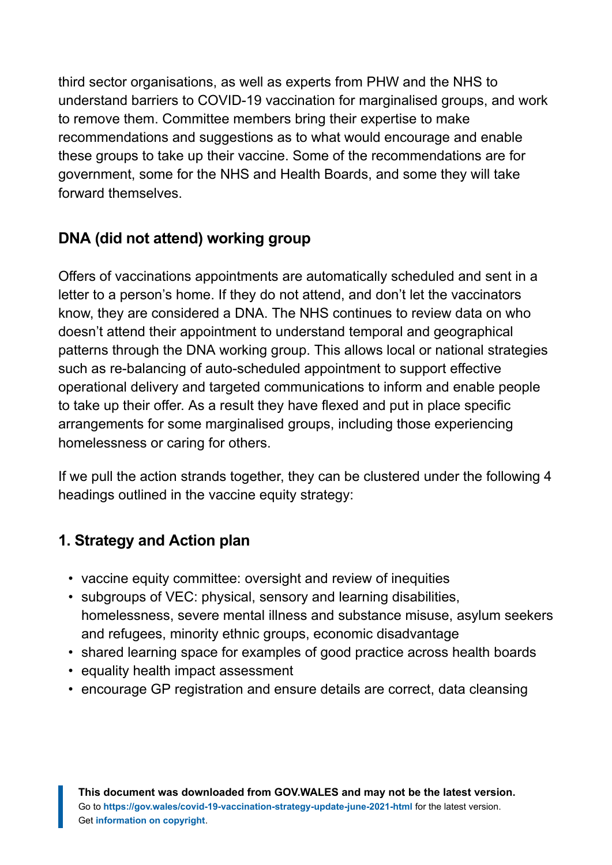third sector organisations, as well as experts from PHW and the NHS to understand barriers to COVID-19 vaccination for marginalised groups, and work to remove them. Committee members bring their expertise to make recommendations and suggestions as to what would encourage and enable these groups to take up their vaccine. Some of the recommendations are for government, some for the NHS and Health Boards, and some they will take forward themselves.

# **DNA (did not attend) working group**

Offers of vaccinations appointments are automatically scheduled and sent in a letter to a person's home. If they do not attend, and don't let the vaccinators know, they are considered a DNA. The NHS continues to review data on who doesn't attend their appointment to understand temporal and geographical patterns through the DNA working group. This allows local or national strategies such as re-balancing of auto-scheduled appointment to support effective operational delivery and targeted communications to inform and enable people to take up their offer. As a result they have flexed and put in place specific arrangements for some marginalised groups, including those experiencing homelessness or caring for others.

If we pull the action strands together, they can be clustered under the following 4 headings outlined in the vaccine equity strategy:

# **1. Strategy and Action plan**

- vaccine equity committee: oversight and review of inequities
- subgroups of VEC: physical, sensory and learning disabilities, homelessness, severe mental illness and substance misuse, asylum seekers and refugees, minority ethnic groups, economic disadvantage
- shared learning space for examples of good practice across health boards
- equality health impact assessment
- encourage GP registration and ensure details are correct, data cleansing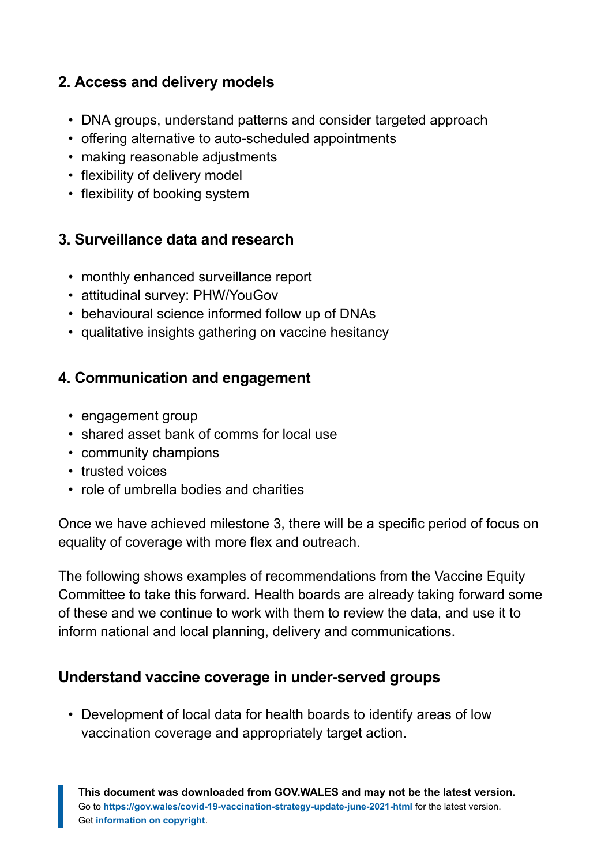## **2. Access and delivery models**

- DNA groups, understand patterns and consider targeted approach
- offering alternative to auto-scheduled appointments
- making reasonable adjustments
- flexibility of delivery model
- flexibility of booking system

# **3. Surveillance data and research**

- monthly enhanced surveillance report
- attitudinal survey: PHW/YouGov
- behavioural science informed follow up of DNAs
- qualitative insights gathering on vaccine hesitancy

# **4. Communication and engagement**

- engagement group
- shared asset bank of comms for local use
- community champions
- trusted voices
- role of umbrella bodies and charities

Once we have achieved milestone 3, there will be a specific period of focus on equality of coverage with more flex and outreach.

The following shows examples of recommendations from the Vaccine Equity Committee to take this forward. Health boards are already taking forward some of these and we continue to work with them to review the data, and use it to inform national and local planning, delivery and communications.

## **Understand vaccine coverage in under-served groups**

• Development of local data for health boards to identify areas of low vaccination coverage and appropriately target action.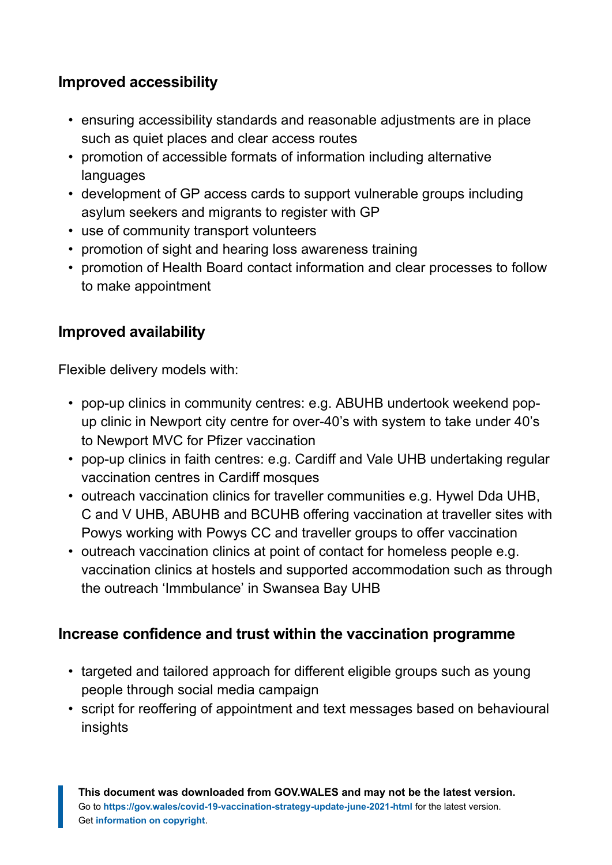## **Improved accessibility**

- ensuring accessibility standards and reasonable adjustments are in place such as quiet places and clear access routes
- promotion of accessible formats of information including alternative languages
- development of GP access cards to support vulnerable groups including asylum seekers and migrants to register with GP
- use of community transport volunteers
- promotion of sight and hearing loss awareness training
- promotion of Health Board contact information and clear processes to follow to make appointment

## **Improved availability**

Flexible delivery models with:

- pop-up clinics in community centres: e.g. ABUHB undertook weekend popup clinic in Newport city centre for over-40's with system to take under 40's to Newport MVC for Pfizer vaccination
- pop-up clinics in faith centres: e.g. Cardiff and Vale UHB undertaking regular vaccination centres in Cardiff mosques
- outreach vaccination clinics for traveller communities e.g. Hywel Dda UHB, C and V UHB, ABUHB and BCUHB offering vaccination at traveller sites with Powys working with Powys CC and traveller groups to offer vaccination
- outreach vaccination clinics at point of contact for homeless people e.g. vaccination clinics at hostels and supported accommodation such as through the outreach 'Immbulance' in Swansea Bay UHB

## **Increase confidence and trust within the vaccination programme**

- targeted and tailored approach for different eligible groups such as young people through social media campaign
- script for reoffering of appointment and text messages based on behavioural insights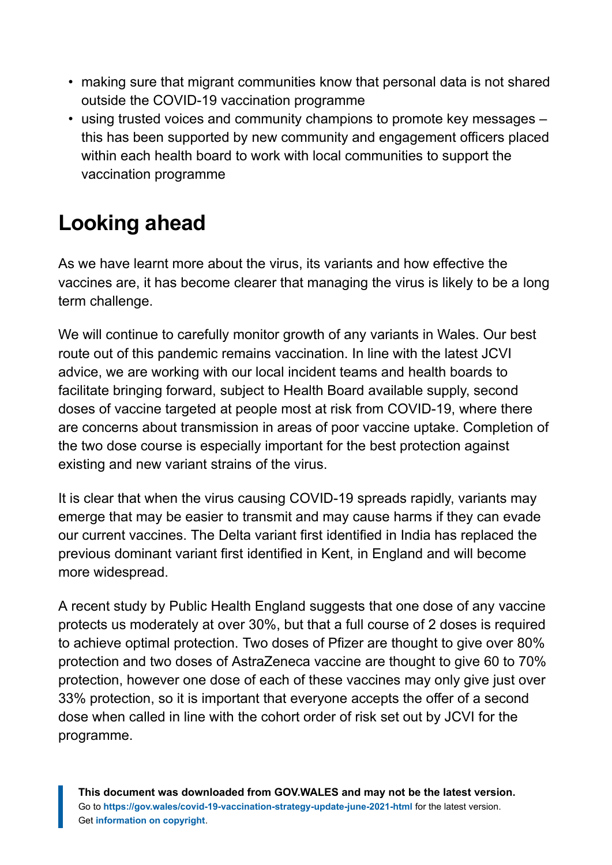- making sure that migrant communities know that personal data is not shared outside the COVID-19 vaccination programme
- using trusted voices and community champions to promote key messages this has been supported by new community and engagement officers placed within each health board to work with local communities to support the vaccination programme

# <span id="page-14-0"></span>**Looking ahead**

As we have learnt more about the virus, its variants and how effective the vaccines are, it has become clearer that managing the virus is likely to be a long term challenge.

We will continue to carefully monitor growth of any variants in Wales. Our best route out of this pandemic remains vaccination. In line with the latest JCVI advice, we are working with our local incident teams and health boards to facilitate bringing forward, subject to Health Board available supply, second doses of vaccine targeted at people most at risk from COVID-19, where there are concerns about transmission in areas of poor vaccine uptake. Completion of the two dose course is especially important for the best protection against existing and new variant strains of the virus.

It is clear that when the virus causing COVID-19 spreads rapidly, variants may emerge that may be easier to transmit and may cause harms if they can evade our current vaccines. The Delta variant first identified in India has replaced the previous dominant variant first identified in Kent, in England and will become more widespread.

A recent study by Public Health England suggests that one dose of any vaccine protects us moderately at over 30%, but that a full course of 2 doses is required to achieve optimal protection. Two doses of Pfizer are thought to give over 80% protection and two doses of AstraZeneca vaccine are thought to give 60 to 70% protection, however one dose of each of these vaccines may only give just over 33% protection, so it is important that everyone accepts the offer of a second dose when called in line with the cohort order of risk set out by JCVI for the programme.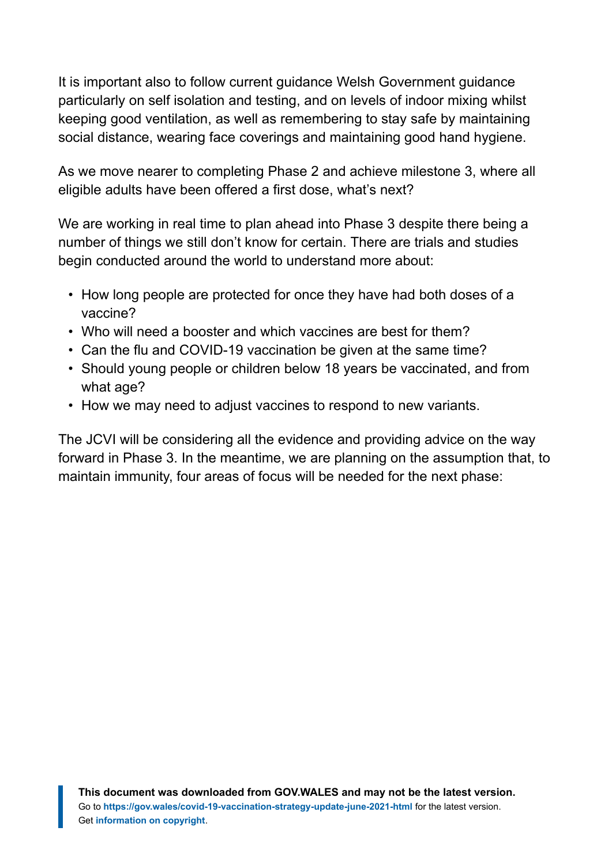It is important also to follow current guidance Welsh Government guidance particularly on self isolation and testing, and on levels of indoor mixing whilst keeping good ventilation, as well as remembering to stay safe by maintaining social distance, wearing face coverings and maintaining good hand hygiene.

As we move nearer to completing Phase 2 and achieve milestone 3, where all eligible adults have been offered a first dose, what's next?

We are working in real time to plan ahead into Phase 3 despite there being a number of things we still don't know for certain. There are trials and studies begin conducted around the world to understand more about:

- How long people are protected for once they have had both doses of a vaccine?
- Who will need a booster and which vaccines are best for them?
- Can the flu and COVID-19 vaccination be given at the same time?
- Should young people or children below 18 years be vaccinated, and from what age?
- How we may need to adjust vaccines to respond to new variants.

The JCVI will be considering all the evidence and providing advice on the way forward in Phase 3. In the meantime, we are planning on the assumption that, to maintain immunity, four areas of focus will be needed for the next phase: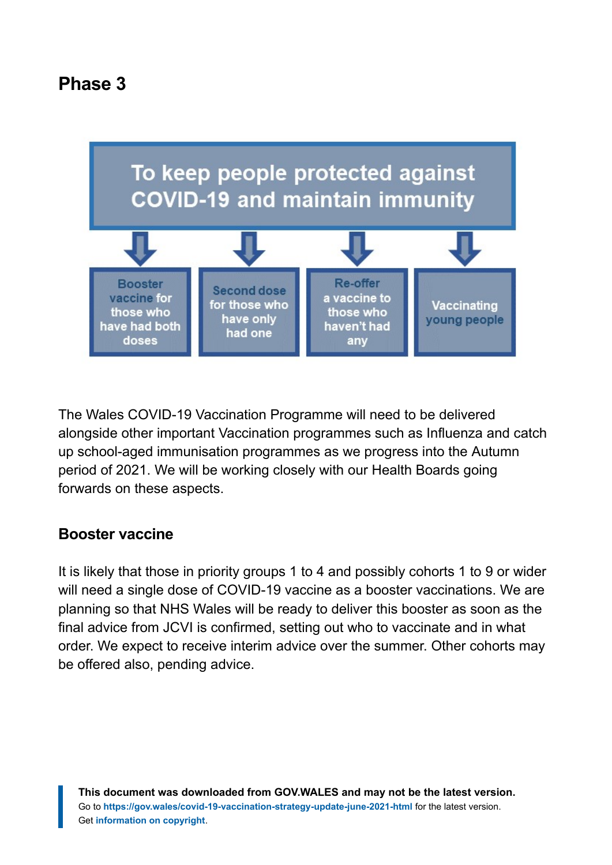# **Phase 3**



The Wales COVID-19 Vaccination Programme will need to be delivered alongside other important Vaccination programmes such as Influenza and catch up school-aged immunisation programmes as we progress into the Autumn period of 2021. We will be working closely with our Health Boards going forwards on these aspects.

#### **Booster vaccine**

It is likely that those in priority groups 1 to 4 and possibly cohorts 1 to 9 or wider will need a single dose of COVID-19 vaccine as a booster vaccinations. We are planning so that NHS Wales will be ready to deliver this booster as soon as the final advice from JCVI is confirmed, setting out who to vaccinate and in what order. We expect to receive interim advice over the summer. Other cohorts may be offered also, pending advice.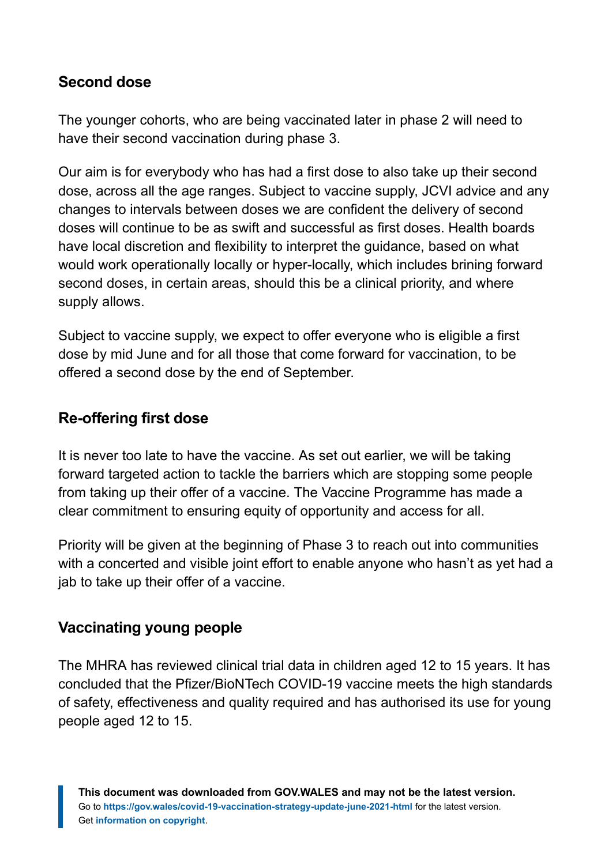## **Second dose**

The younger cohorts, who are being vaccinated later in phase 2 will need to have their second vaccination during phase 3.

Our aim is for everybody who has had a first dose to also take up their second dose, across all the age ranges. Subject to vaccine supply, JCVI advice and any changes to intervals between doses we are confident the delivery of second doses will continue to be as swift and successful as first doses. Health boards have local discretion and flexibility to interpret the guidance, based on what would work operationally locally or hyper-locally, which includes brining forward second doses, in certain areas, should this be a clinical priority, and where supply allows.

Subject to vaccine supply, we expect to offer everyone who is eligible a first dose by mid June and for all those that come forward for vaccination, to be offered a second dose by the end of September.

#### **Re-offering first dose**

It is never too late to have the vaccine. As set out earlier, we will be taking forward targeted action to tackle the barriers which are stopping some people from taking up their offer of a vaccine. The Vaccine Programme has made a clear commitment to ensuring equity of opportunity and access for all.

Priority will be given at the beginning of Phase 3 to reach out into communities with a concerted and visible joint effort to enable anyone who hasn't as yet had a jab to take up their offer of a vaccine.

#### **Vaccinating young people**

The MHRA has reviewed clinical trial data in children aged 12 to 15 years. It has concluded that the Pfizer/BioNTech COVID-19 vaccine meets the high standards of safety, effectiveness and quality required and has authorised its use for young people aged 12 to 15.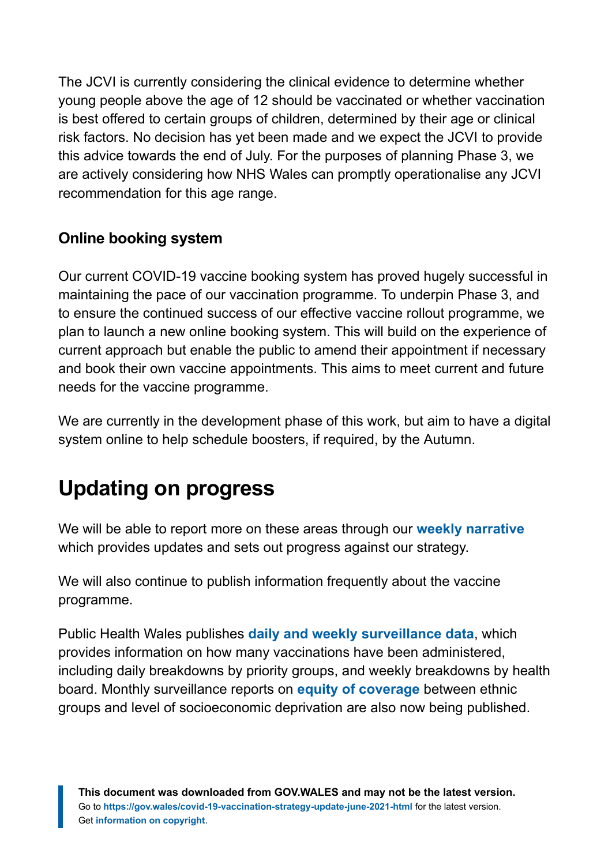The JCVI is currently considering the clinical evidence to determine whether young people above the age of 12 should be vaccinated or whether vaccination is best offered to certain groups of children, determined by their age or clinical risk factors. No decision has yet been made and we expect the JCVI to provide this advice towards the end of July. For the purposes of planning Phase 3, we are actively considering how NHS Wales can promptly operationalise any JCVI recommendation for this age range.

# **Online booking system**

Our current COVID-19 vaccine booking system has proved hugely successful in maintaining the pace of our vaccination programme. To underpin Phase 3, and to ensure the continued success of our effective vaccine rollout programme, we plan to launch a new online booking system. This will build on the experience of current approach but enable the public to amend their appointment if necessary and book their own vaccine appointments. This aims to meet current and future needs for the vaccine programme.

We are currently in the development phase of this work, but aim to have a digital system online to help schedule boosters, if required, by the Autumn.

# <span id="page-18-0"></span>**Updating on progress**

We will be able to report more on these areas through our **[weekly narrative](https://gov.wales/covid-19-vaccination-programme-weekly-updates)** which provides updates and sets out progress against our strategy.

We will also continue to publish information frequently about the vaccine programme.

Public Health Wales publishes **[daily and weekly surveillance data](https://public.tableau.com/profile/public.health.wales.health.protection#!/vizhome/RapidCOVID-19virology-Public/Headlinesummary)**, which provides information on how many vaccinations have been administered, including daily breakdowns by priority groups, and weekly breakdowns by health board. Monthly surveillance reports on **[equity of coverage](https://public.tableau.com/profile/public.health.wales.health.protection#!/vizhome/RapidCOVID-19virology-Public/Headlinesummary)** between ethnic groups and level of socioeconomic deprivation are also now being published.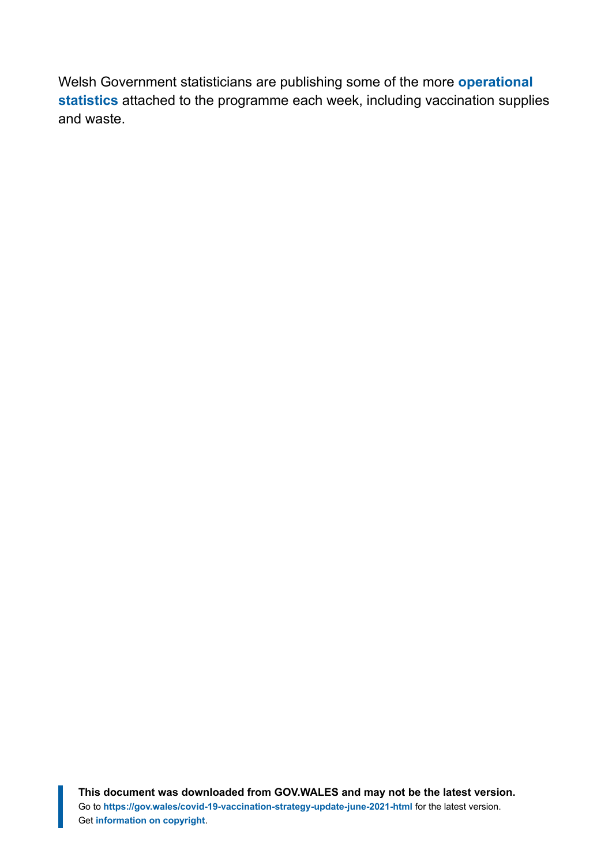Welsh Government statisticians are publishing some of the more **[operational](https://gov.wales/covid-19-vaccination-programme-stock-and-distribution) [statistics](https://gov.wales/covid-19-vaccination-programme-stock-and-distribution)** attached to the programme each week, including vaccination supplies and waste.